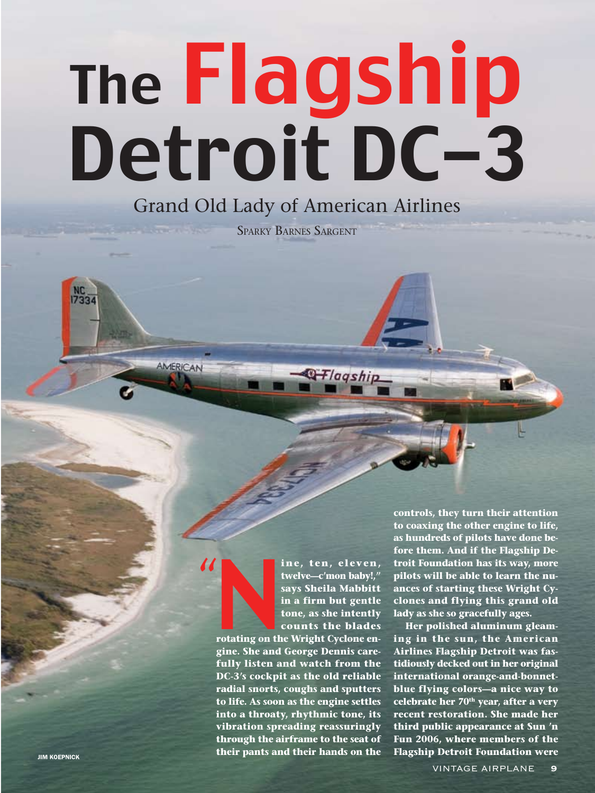# The Flagship Detroit DC-3

# Grand Old Lady of American Airlines

Sparky Barnes Sargent

ine, ten, eleven,<br>twelve—c'mon baby!,"<br>says Sheila Mabbitt<br>in a firm but gentle<br>tone, as she intently<br>counts the blades<br>rotating on the Wright Cyclone en-<br>gine. She and George Dennis care**twelve—c'mon baby!," says Sheila Mabbitt in a firm but gentle tone, as she intently counts the blades** 

Q Flagship

**rotating on the Wright Cyclone engine. She and George Dennis carefully listen and watch from the DC-3's cockpit as the old reliable radial snorts, coughs and sputters to life. As soon as the engine settles into a throaty, rhythmic tone, its vibration spreading reassuringly through the airframe to the seat of their pants and their hands on the** 

"

AMERICAN

**controls, they turn their attention to coaxing the other engine to life, as hundreds of pilots have done before them. And if the Flagship Detroit Foundation has its way, more pilots will be able to learn the nuances of starting these Wright Cyclones and flying this grand old lady as she so gracefully ages.** 

**Her polished aluminum gleaming in the sun, the American Airlines Flagship Detroit was fastidiously decked out in her original international orange-and-bonnetblue flying colors—a nice way to celebrate her 70th year, after a very recent restoration. She made her third public appearance at Sun 'n Fun 2006, where members of the Flagship Detroit Foundation were**

NC<br>17334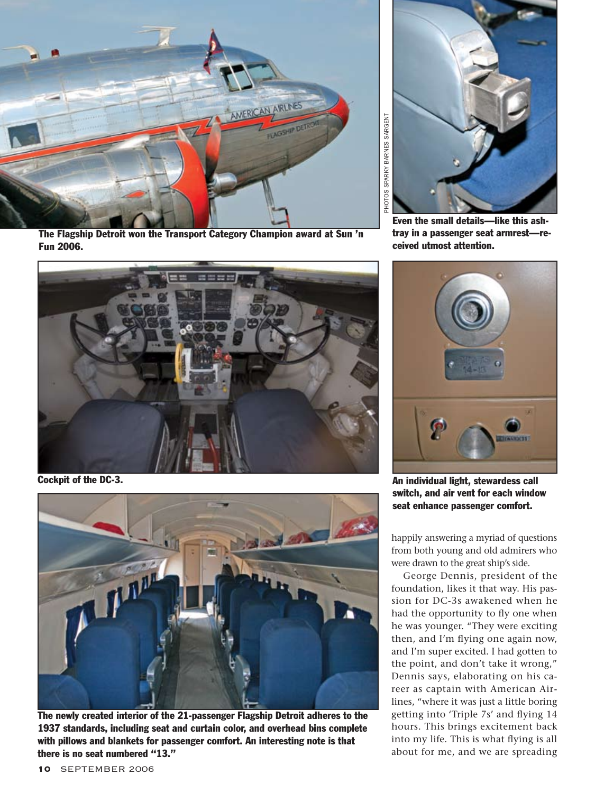

The Flagship Detroit won the Transport Category Champion award at Sun 'n Fun 2006.



Cockpit of the DC-3.



The newly created interior of the 21-passenger Flagship Detroit adheres to the 1937 standards, including seat and curtain color, and overhead bins complete with pillows and blankets for passenger comfort. An interesting note is that there is no seat numbered "13."



Even the small details—like this ashtray in a passenger seat armrest—received utmost attention.



An individual light, stewardess call switch, and air vent for each window seat enhance passenger comfort.

happily answering a myriad of questions from both young and old admirers who were drawn to the great ship's side.

George Dennis, president of the foundation, likes it that way. His passion for DC-3s awakened when he had the opportunity to fly one when he was younger. "They were exciting then, and I'm flying one again now, and I'm super excited. I had gotten to the point, and don't take it wrong," Dennis says, elaborating on his career as captain with American Airlines, "where it was just a little boring getting into 'Triple 7s' and flying 14 hours. This brings excitement back into my life. This is what flying is all about for me, and we are spreading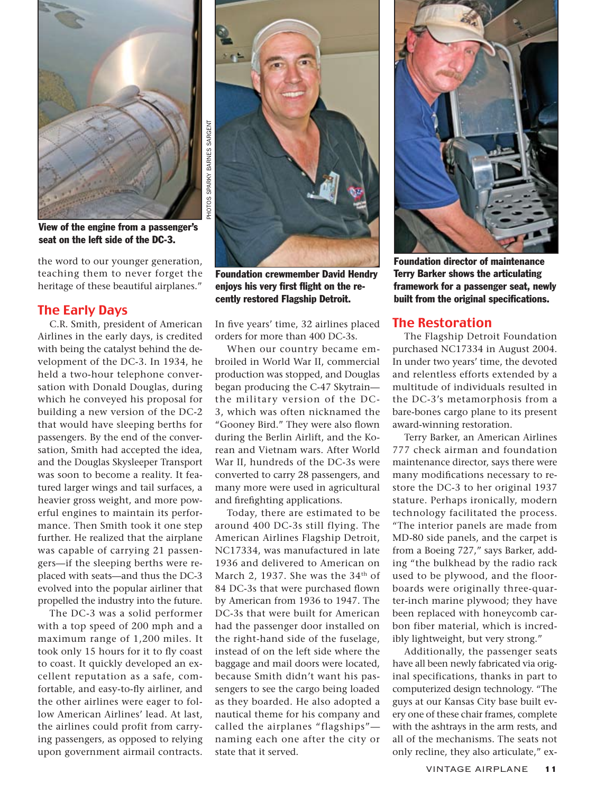

View of the engine from a passenger's seat on the left side of the DC-3.

the word to our younger generation, teaching them to never forget the heritage of these beautiful airplanes."

# The Early Days

C.R. Smith, president of American Airlines in the early days, is credited with being the catalyst behind the development of the DC-3. In 1934, he held a two-hour telephone conversation with Donald Douglas, during which he conveyed his proposal for building a new version of the DC-2 that would have sleeping berths for passengers. By the end of the conversation, Smith had accepted the idea, and the Douglas Skysleeper Transport was soon to become a reality. It featured larger wings and tail surfaces, a heavier gross weight, and more powerful engines to maintain its performance. Then Smith took it one step further. He realized that the airplane was capable of carrying 21 passengers—if the sleeping berths were replaced with seats—and thus the DC-3 evolved into the popular airliner that propelled the industry into the future.

The DC-3 was a solid performer with a top speed of 200 mph and a maximum range of 1,200 miles. It took only 15 hours for it to fly coast to coast. It quickly developed an excellent reputation as a safe, comfortable, and easy-to-fly airliner, and the other airlines were eager to follow American Airlines' lead. At last, the airlines could profit from carrying passengers, as opposed to relying upon government airmail contracts.



Foundation crewmember David Hendry enjoys his very first flight on the recently restored Flagship Detroit.

In five years' time, 32 airlines placed orders for more than 400 DC-3s.

When our country became embroiled in World War II, commercial production was stopped, and Douglas began producing the C-47 Skytrain the military version of the DC-3, which was often nicknamed the "Gooney Bird." They were also flown during the Berlin Airlift, and the Korean and Vietnam wars. After World War II, hundreds of the DC-3s were converted to carry 28 passengers, and many more were used in agricultural and firefighting applications.

Today, there are estimated to be around 400 DC-3s still flying. The American Airlines Flagship Detroit, NC17334, was manufactured in late 1936 and delivered to American on March 2, 1937. She was the 34<sup>th</sup> of 84 DC-3s that were purchased flown by American from 1936 to 1947. The DC-3s that were built for American had the passenger door installed on the right-hand side of the fuselage, instead of on the left side where the baggage and mail doors were located, because Smith didn't want his passengers to see the cargo being loaded as they boarded. He also adopted a nautical theme for his company and called the airplanes "flagships" naming each one after the city or state that it served.



Foundation director of maintenance Terry Barker shows the articulating framework for a passenger seat, newly built from the original specifications.

#### The Restoration

The Flagship Detroit Foundation purchased NC17334 in August 2004. In under two years' time, the devoted and relentless efforts extended by a multitude of individuals resulted in the DC-3's metamorphosis from a bare-bones cargo plane to its present award-winning restoration.

Terry Barker, an American Airlines 777 check airman and foundation maintenance director, says there were many modifications necessary to restore the DC-3 to her original 1937 stature. Perhaps ironically, modern technology facilitated the process. "The interior panels are made from MD-80 side panels, and the carpet is from a Boeing 727," says Barker, adding "the bulkhead by the radio rack used to be plywood, and the floorboards were originally three-quarter-inch marine plywood; they have been replaced with honeycomb carbon fiber material, which is incredibly lightweight, but very strong."

Additionally, the passenger seats have all been newly fabricated via original specifications, thanks in part to computerized design technology. "The guys at our Kansas City base built every one of these chair frames, complete with the ashtrays in the arm rests, and all of the mechanisms. The seats not only recline, they also articulate," ex-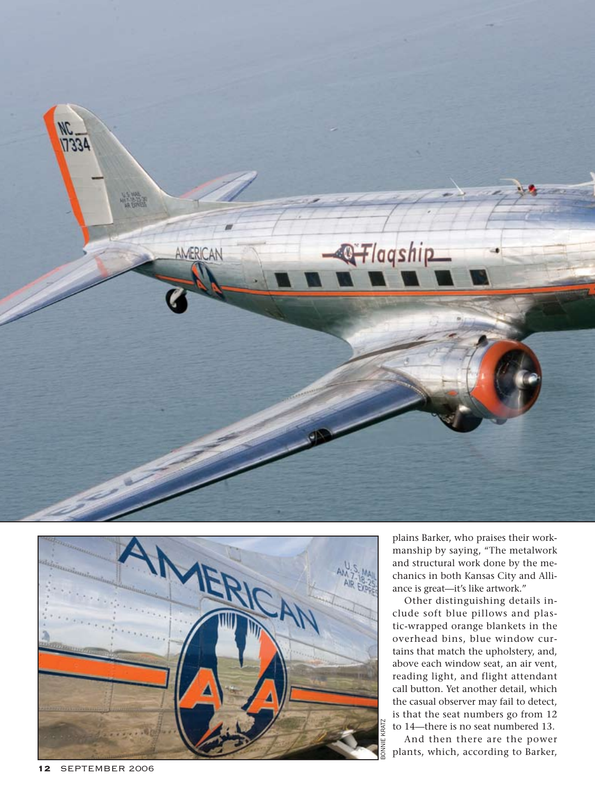



plains Barker, who praises their work manship by saying, "The metalwork and structural work done by the me chanics in both Kansas City and Alli ance is great—it's like artwork."

Other distinguishing details in clude soft blue pillows and plas tic-wrapped orange blankets in the overhead bins, blue window cur tains that match the upholstery, and, above each window seat, an air vent, reading light, and flight attendant call button. Yet another detail, which the casual observer may fail to detect, is that the seat numbers go from 12 to 14—there is no seat numbered 13.

And then there are the power plants, which, according to Barker,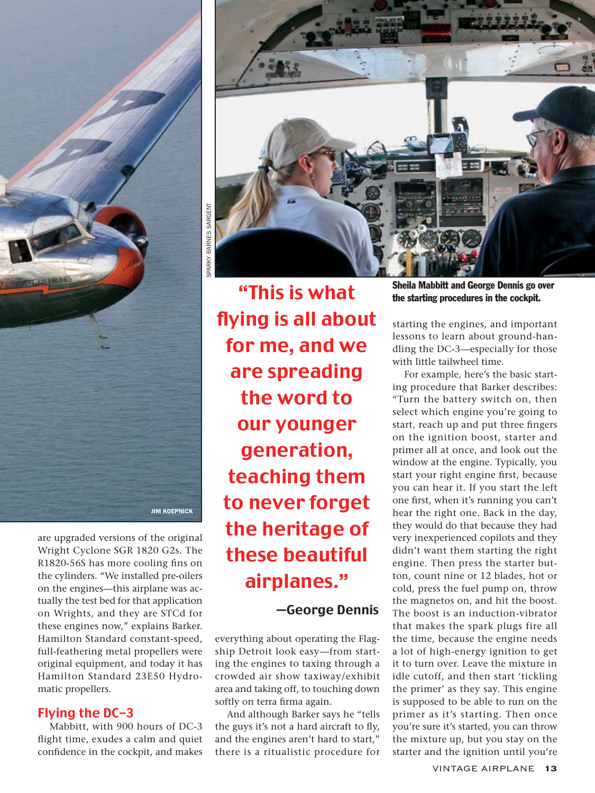

are upgraded versions of the original Wright Cyclone SGR 1820 G2s. The R1820-56S has more cooling fins on the cylinders. "We installed pre-oilers on the engines—this airplane was actually the test bed for that application on Wrights, and they are STCd for these engines now," explains Barker. Hamilton Standard constant-speed, full-feathering metal propellers were original equipment, and today it has Hamilton Standard 23E50 Hydromatic propellers.

# Flying the DC-3

Mabbitt, with 900 hours of DC-3 flight time, exudes a calm and quiet confidence in the cockpit, and makes



"This is what flying is all about for me, and we are spreading the word to our younger generation, teaching them to never forget the heritage of these beautiful airplanes."

—George Dennis

everything about operating the Flagship Detroit look easy—from starting the engines to taxing through a crowded air show taxiway/exhibit area and taking off, to touching down softly on terra firma again.

And although Barker says he "tells the guys it's not a hard aircraft to fly, and the engines aren't hard to start," there is a ritualistic procedure for

Sheila Mabbitt and George Dennis go over the starting procedures in the cockpit.

starting the engines, and important lessons to learn about ground-handling the DC-3—especially for those with little tailwheel time.

For example, here's the basic starting procedure that Barker describes: "Turn the battery switch on, then select which engine you're going to start, reach up and put three fingers on the ignition boost, starter and primer all at once, and look out the window at the engine. Typically, you start your right engine first, because you can hear it. If you start the left one first, when it's running you can't hear the right one. Back in the day, they would do that because they had very inexperienced copilots and they didn't want them starting the right engine. Then press the starter button, count nine or 12 blades, hot or cold, press the fuel pump on, throw the magnetos on, and hit the boost. The boost is an induction-vibrator that makes the spark plugs fire all the time, because the engine needs a lot of high-energy ignition to get it to turn over. Leave the mixture in idle cutoff, and then start 'tickling the primer' as they say. This engine is supposed to be able to run on the primer as it's starting. Then once you're sure it's started, you can throw the mixture up, but you stay on the starter and the ignition until you're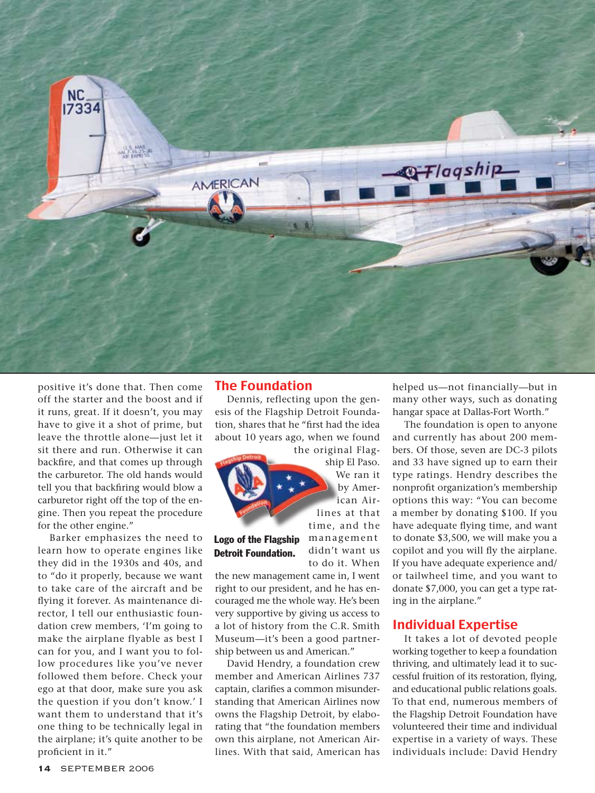

positive it's done that. Then come off the starter and the boost and if it runs, great. If it doesn't, you may have to give it a shot of prime, but leave the throttle alone—just let it sit there and run. Otherwise it can backfire, and that comes up through the carburetor. The old hands would tell you that backfiring would blow a carburetor right off the top of the engine. Then you repeat the procedure for the other engine."

Barker emphasizes the need to learn how to operate engines like they did in the 1930s and 40s, and to "do it properly, because we want to take care of the aircraft and be flying it forever. As maintenance director, I tell our enthusiastic foundation crew members, 'I'm going to make the airplane flyable as best I can for you, and I want you to follow procedures like you've never followed them before. Check your ego at that door, make sure you ask the question if you don't know.' I want them to understand that it's one thing to be technically legal in the airplane; it's quite another to be proficient in it."

#### The Foundation

Dennis, reflecting upon the genesis of the Flagship Detroit Foundation, shares that he "first had the idea about 10 years ago, when we found

![](_page_5_Picture_5.jpeg)

ship El Paso. We ran it by American Airlines at that time, and the management didn't want us

# Logo of the Flagship Detroit Foundation.

to do it. When the new management came in, I went right to our president, and he has encouraged me the whole way. He's been very supportive by giving us access to a lot of history from the C.R. Smith Museum—it's been a good partnership between us and American."

David Hendry, a foundation crew member and American Airlines 737 captain, clarifies a common misunderstanding that American Airlines now owns the Flagship Detroit, by elaborating that "the foundation members own this airplane, not American Airlines. With that said, American has helped us—not financially—but in many other ways, such as donating hangar space at Dallas-Fort Worth."

The foundation is open to anyone and currently has about 200 members. Of those, seven are DC-3 pilots and 33 have signed up to earn their type ratings. Hendry describes the nonprofit organization's membership options this way: "You can become a member by donating \$100. If you have adequate flying time, and want to donate \$3,500, we will make you a copilot and you will fly the airplane. If you have adequate experience and/ or tailwheel time, and you want to donate \$7,000, you can get a type rating in the airplane."

## Individual Expertise

It takes a lot of devoted people working together to keep a foundation thriving, and ultimately lead it to successful fruition of its restoration, flying, and educational public relations goals. To that end, numerous members of the Flagship Detroit Foundation have volunteered their time and individual expertise in a variety of ways. These individuals include: David Hendry